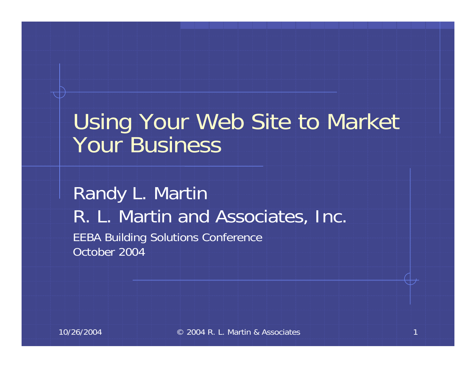#### Using Your Web Site to Market Your Business

Randy L. Martin R. L. Martin and Associates, Inc. EEBA Building Solutions Conference October 2004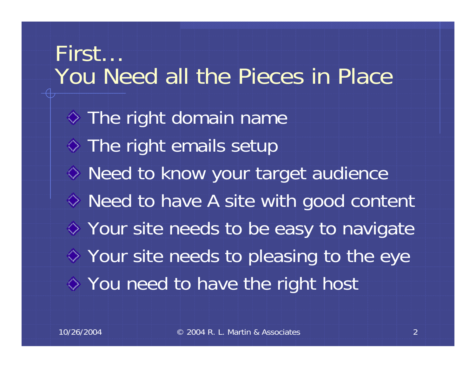First… You Need all the Pieces in Place $\Diamond$  The right domain name  $\diamond$  The right emails setup  $\diamond$  Need to know your target audience ◆ Need to have A site with good content Your site needs to be easy to navigate  $\diamond$  Your site needs to pleasing to the eye You need to have the right host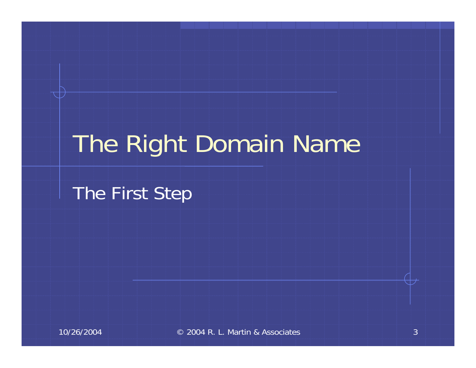# The Right Domain Name

The First Step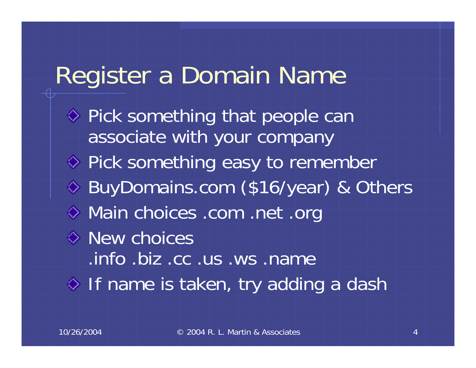#### Register a Domain Name

 $\Diamond$  Pick something that people can associate with your company  $\diamond$  Pick something easy to remember BuyDomains.com (\$16/year) & Others Main choices .com .net .org  $\diamond$  New choices .info .biz .cc .us .ws .name  $\Diamond$  If name is taken, try adding a dash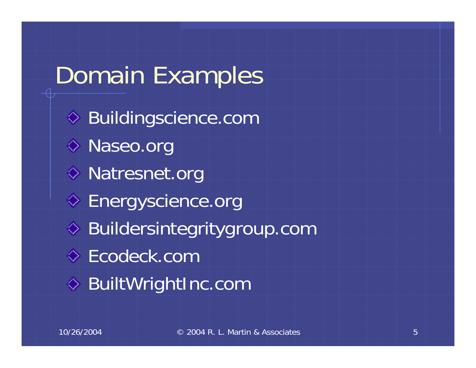# Domain Examples

◆ Buildingscience.com ◆ Naseo.org ◆ Natresnet.org ◆ Energyscience.org Buildersintegritygroup.com Ecodeck.com ◆ BuiltWrightInc.com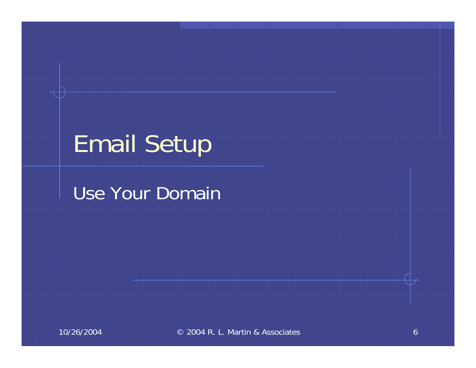## Email Setup

#### Use Your Domain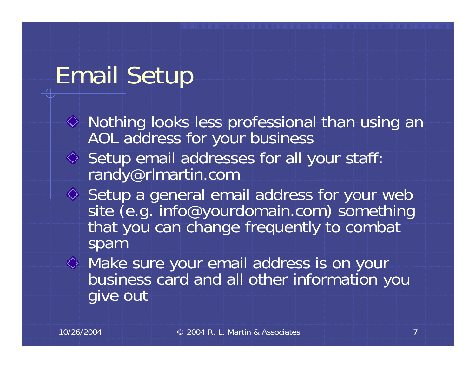### Email Setup

- $\Diamond$  Nothing looks less professional than using an AOL address for your business
- $\Diamond$  Setup email addresses for all your staff: randy@rlmartin.com
- Setup a general email address for your web<br>site (e.g. info@yourdomain.com) something that you can change frequently to combat spam
- Make sure your email address is on your business card and all other information you give out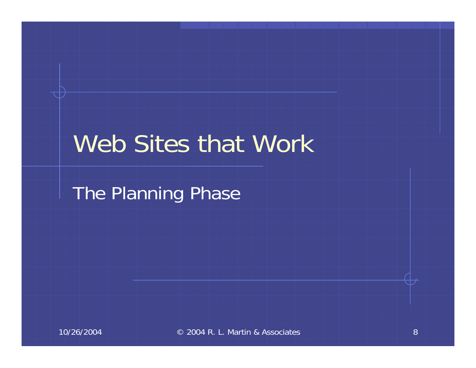#### Web Sites that Work

The Planning Phase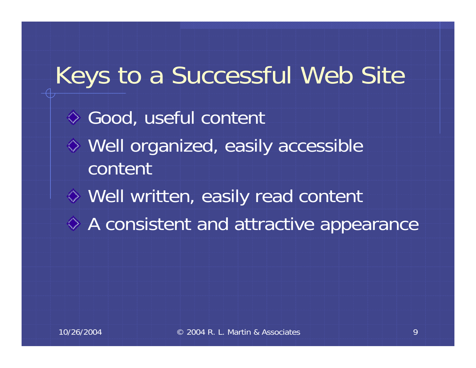# Keys to a Successful Web Site Good, useful content Well organized, easily accessible contentWell written, easily read content A consistent and attractive appearance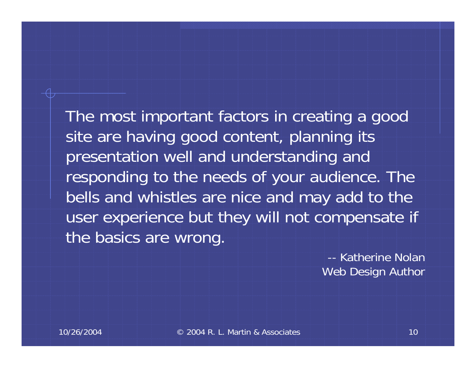The most important factors in creating a good site are having good content, planning its presentation well and understanding and responding to the needs of your audience. The bells and whistles are nice and may add to the user experience but they will not compensate if the basics are wrong.

> -- Katherine NolanWeb Design Author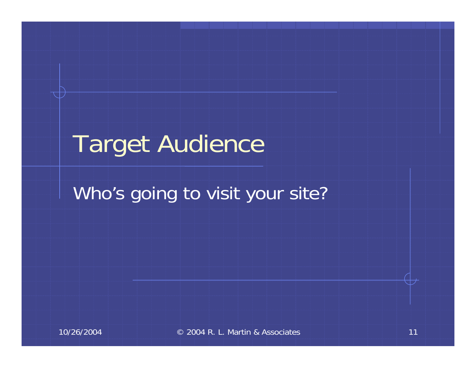## Target Audience

#### Who's going to visit your site?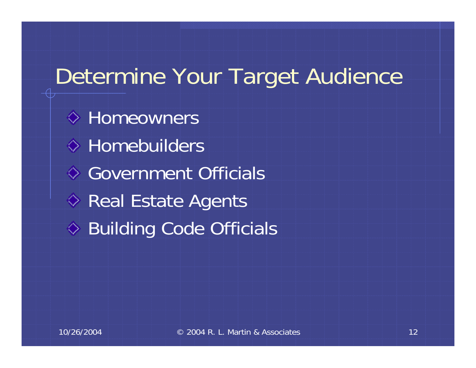#### Determine Your Target Audience

**♦ Homeowners ♦ Homebuilders ♦ Government Officials**  $\diamond$  Real Estate Agents ♦ Building Code Officials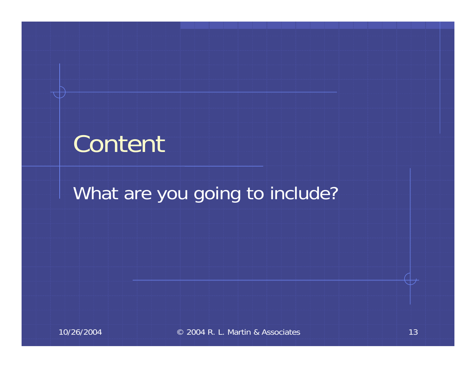#### Content

#### What are you going to include?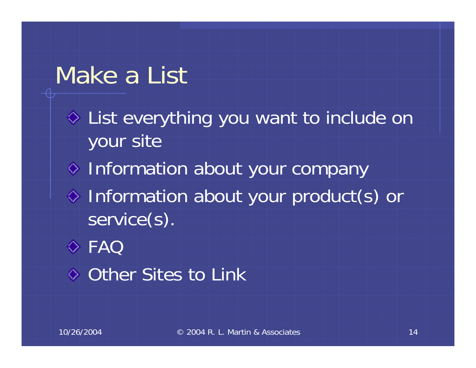#### Make a List

List everything you want to include on your site  $\diamond$  Information about your company  $\Diamond$  Information about your product(s) or service(s). FAQ

**♦ Other Sites to Link**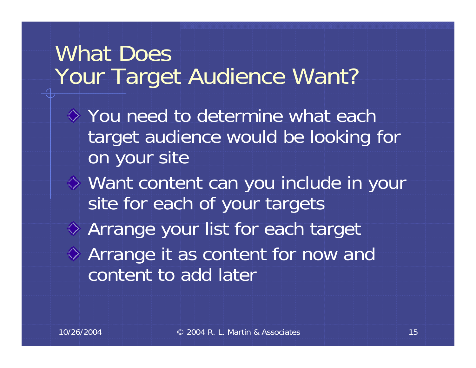#### What Does Your Target Audience Want?

- $\diamond$  You need to determine what each target audience would be looking for on your site
- Want content can you include in your site for each of your targets Arrange your list for each target Arrange it as content for now and content to add later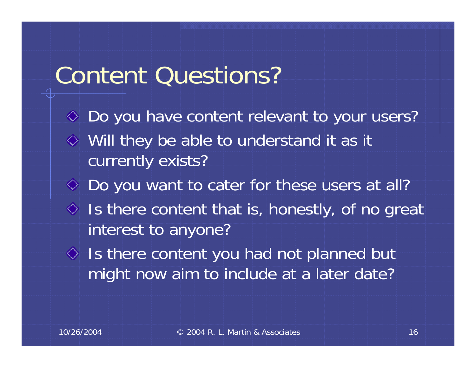#### Content Questions?

 $\Diamond$  Do you have content relevant to your users? Will they be able to understand it as it currently exists? ◆ Do you want to cater for these users at all?  $\Diamond$  Is there content that is, honestly, of no great interest to anyone?  $\Diamond$  Is there content you had not planned but might now aim to include at a later date?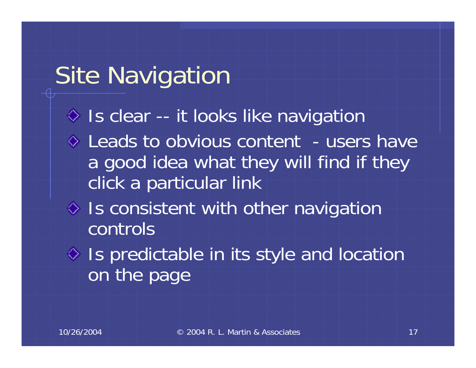### Site Navigation

- Is clear -- it looks like navigation
- Leads to obvious content users have a good idea what they will find if they click a particular link
- $\Diamond$  Is consistent with other navigation controls
- $\Diamond$  Is predictable in its style and location on the page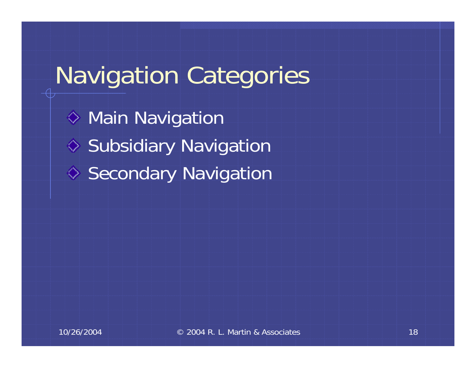# Navigation Categories

**♦ Main Navigation** ♦ Subsidiary Navigation ♦ Secondary Navigation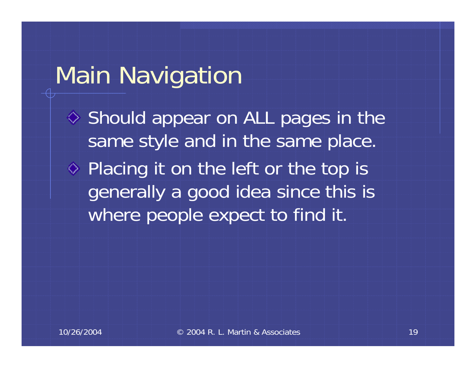#### Main Navigation

 $\diamond$  Should appear on ALL pages in the same style and in the same place.  $\Diamond$  Placing it on the left or the top is generally a good idea since this is

where people expect to find it.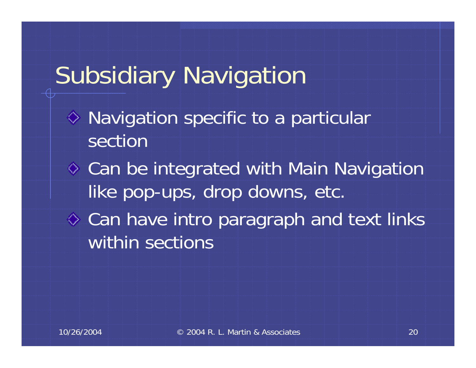# Subsidiary Navigation

- $\diamond$  Navigation specific to a particular section
- **♦ Can be integrated with Main Navigation** like pop-ups, drop downs, etc.
- $\Diamond$  Can have intro paragraph and text links within sections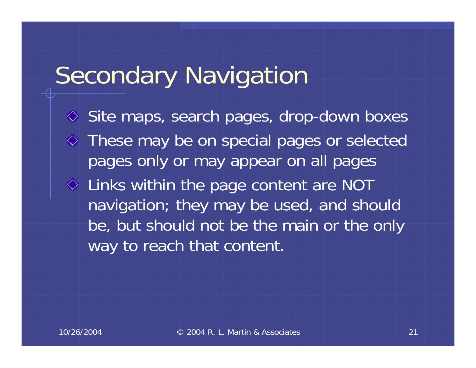### Secondary Navigation

**◇ Site maps, search pages, drop-down boxes** These may be on special pages or selected pages only or may appear on all pages Links within the page content are NOT navigation; they may be used, and should be, but should not be the main or the only way to reach that content.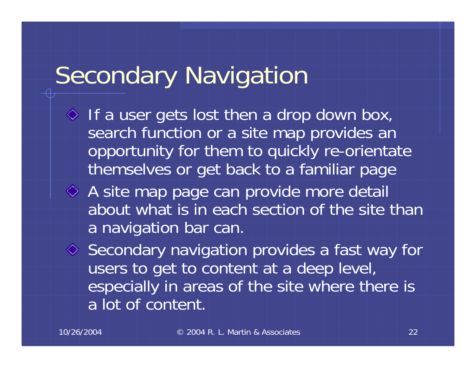## Secondary Navigation

- $\Diamond$  If a user gets lost then a drop down box, search function or a site map provides an opportunity for them to quickly re-orientate themselves or get back to a familiar page
- A site map page can provide more detail about what is in each section of the site than a navigation bar can.

 $\Diamond$  Secondary navigation provides a fast way for users to get to content at a deep level, especially in areas of the site where there is a lot of content.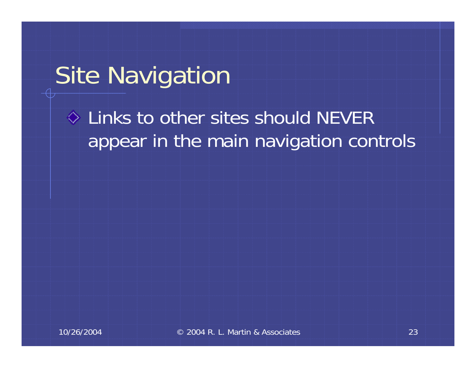### Site Navigation

#### $\Diamond$  Links to other sites should NEVER appear in the main navigation controls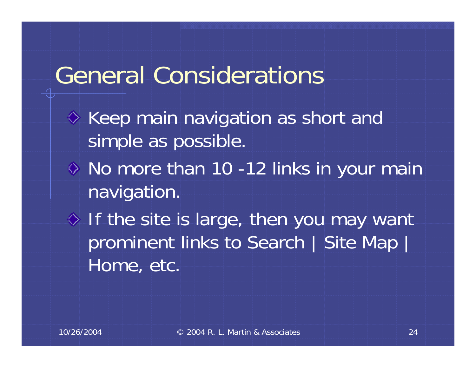#### General Considerations

- $\diamond$  Keep main navigation as short and simple as possible. No more than 10 -12 links in your main navigation.
- $\Diamond$  If the site is large, then you may want prominent links to Search | Site Map | Home, etc.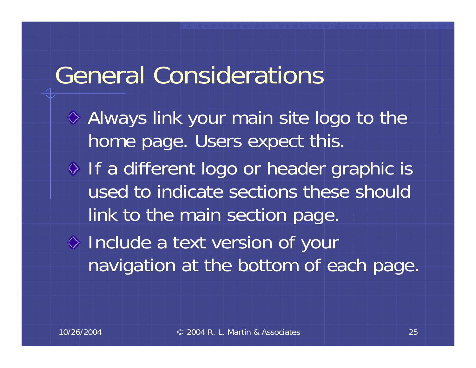#### General Considerations

Always link your main site logo to the home page. Users expect this.  $\Diamond$  If a different logo or header graphic is used to indicate sections these should link to the main section page. Include a text version of your navigation at the bottom of each page.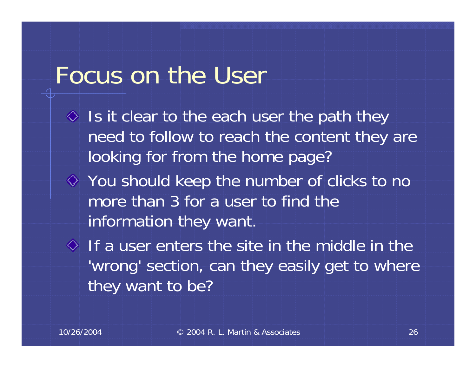#### Focus on the User

- $\Diamond$  Is it clear to the each user the path they need to follow to reach the content they are looking for from the home page?
- You should keep the number of clicks to no more than 3 for a user to find the information they want.
- $\Diamond$  If a user enters the site in the middle in the 'wrong' section, can they easily get to where they want to be?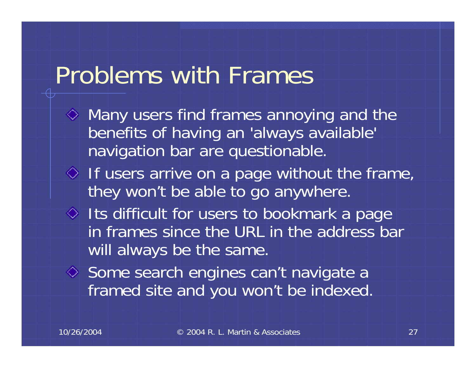#### Problems with Frames

- $\Diamond$  Many users find frames annoying and the benefits of having an 'always available' navigation bar are questionable.
- $\Diamond$  If users arrive on a page without the frame, they won't be able to go anywhere.
- $\Diamond$  Its difficult for users to bookmark a page in frames since the URL in the address bar will always be the same.
- $\Diamond$  Some search engines can't navigate a framed site and you won't be indexed.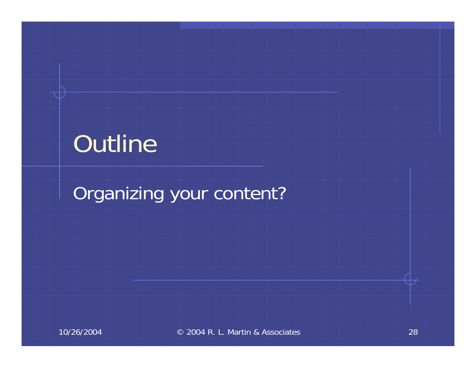## Outline

#### Organizing your content?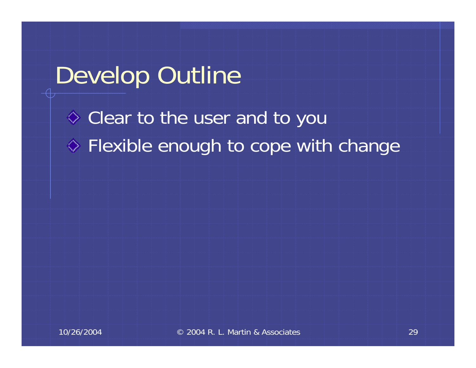#### Develop Outline

Clear to the user and to you **♦ Flexible enough to cope with change**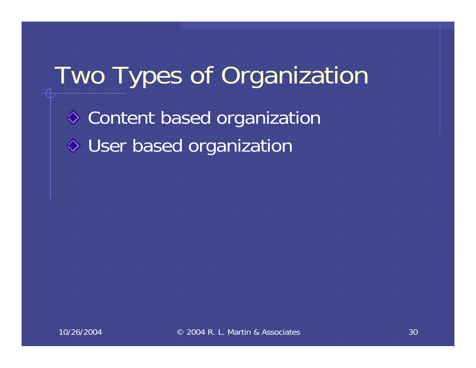# Two Types of Organization Content based organization User based organization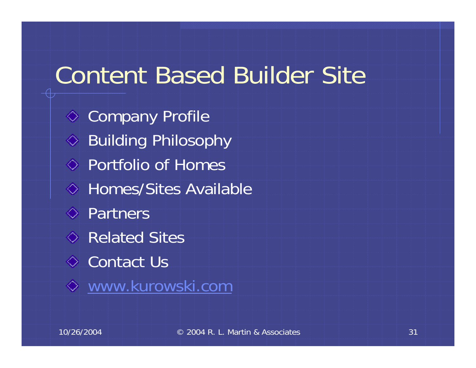#### Content Based Builder Site

**♦ Company Profile ◆ Building Philosophy** Portfolio of Homes **♦ Homes/Sites Available ♦** Partners Related Sites**♦ Contact Us** [www.kurowski.com](http://www.kurowski.com/)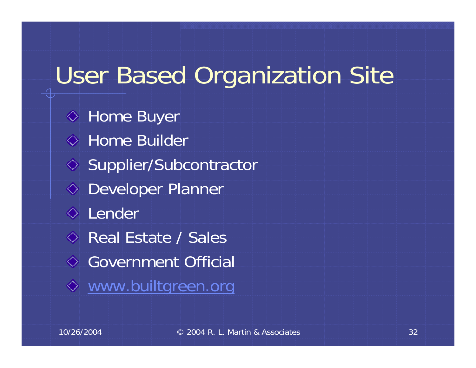## User Based Organization Site

**♦ Home Buyer ↓ Home Builder** ◇ Supplier/Subcontractor Developer Planner **↓** Lender Real Estate / Sales Government Official [www.builtgreen.org](http://www.builtgreen.org/)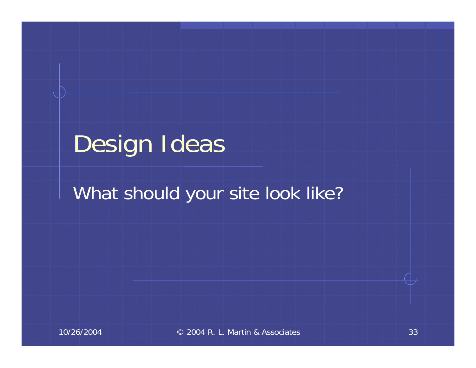# Design Ideas

#### What should your site look like?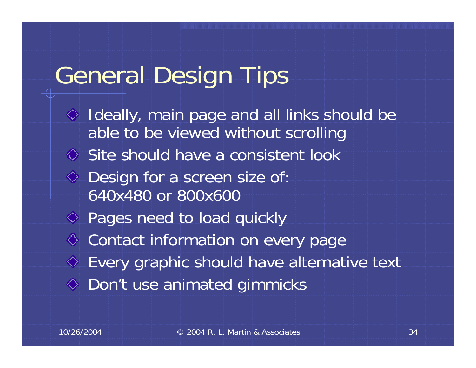#### General Design Tips

 $\Diamond$  Ideally, main page and all links should be able to be viewed without scrolling Site should have a consistent look Design for a screen size of: 640x480 or 800x600◆ Pages need to load quickly **♦ Contact information on every page** Every graphic should have alternative text **♦ Don't use animated gimmicks**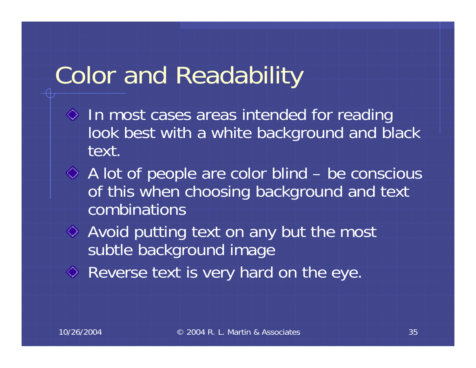## Color and Readability

- $\Diamond$  In most cases areas intended for reading look best with a white background and black text.
- A lot of people are color blind be conscious of this when choosing background and text combinations
- Avoid putting text on any but the most subtle background image
- Reverse text is very hard on the eye.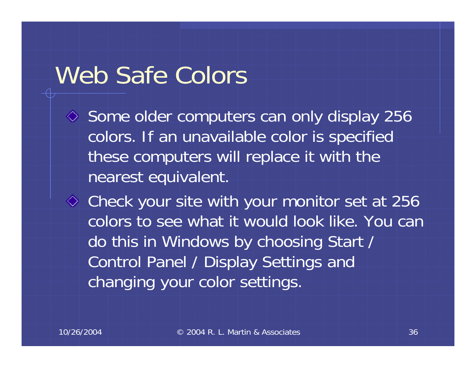#### Web Safe Colors

 $\Diamond$  Some older computers can only display 256 colors. If an unavailable color is specified these computers will replace it with the nearest equivalent.

 $\Diamond$  Check your site with your monitor set at 256 colors to see what it would look like. You can do this in Windows by choosing Start / Control Panel / Display Settings and changing your color settings.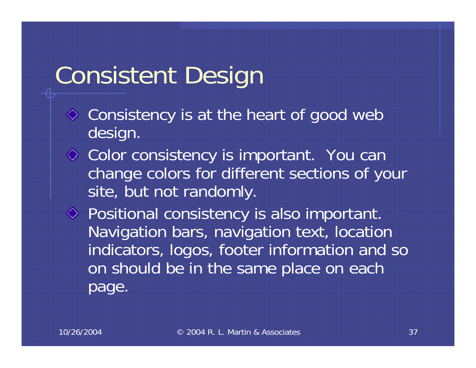# Consistent Design

- $\Diamond$  Consistency is at the heart of good web design.
- **◇ Color consistency is important.** You can change colors for different sections of your site, but not randomly.
- Positional consistency is also important. Navigation bars, navigation text, location indicators, logos, footer information and so on should be in the same place on each page.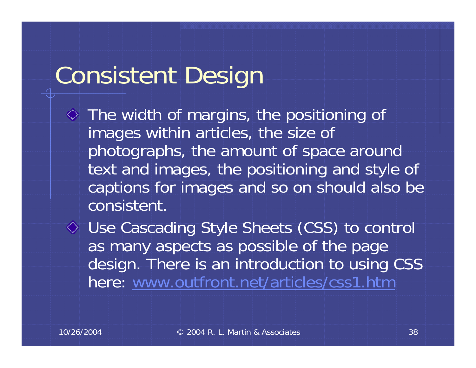# Consistent Design

 $\Diamond$  The width of margins, the positioning of images within articles, the size of photographs, the amount of space around text and images, the positioning and style of captions for images and so on should also be consistent.

Use Cascading Style Sheets (CSS) to control as many aspects as possible of the page design. There is an introduction to using CSS here: [www.outfront.net/articles/css1.htm](http://www.outfront.net/articles/css1.htm)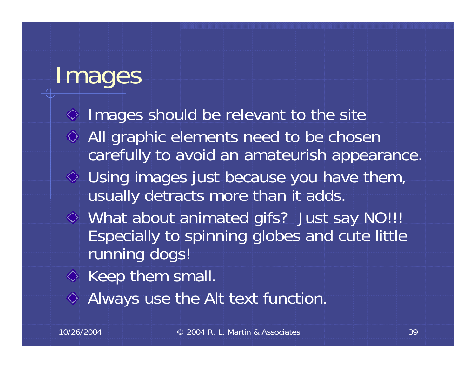## Images

 $\Diamond$  Images should be relevant to the site **♦ All graphic elements need to be chosen** carefully to avoid an amateurish appearance.  $\Diamond$  Using images just because you have them, usually detracts more than it adds. What about animated gifs? Just say NO!!! Especially to spinning globes and cute little running dogs!  $\Diamond$  Keep them small.

Always use the Alt text function.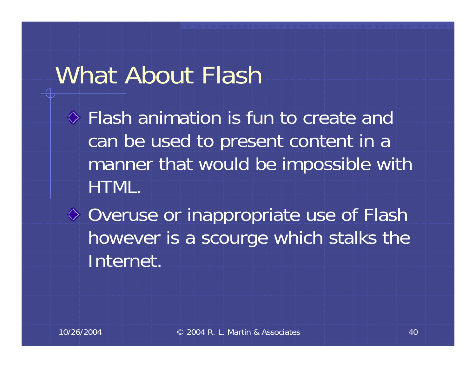### What About Flash

Flash animation is fun to create and can be used to present content in a manner that would be impossible with HTML.

♦ Overuse or inappropriate use of Flash however is a scourge which stalks the Internet.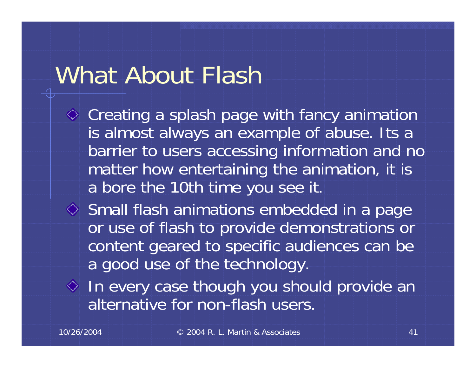## What About Flash

- $\Diamond$  Creating a splash page with fancy animation is almost always an example of abuse. Its a barrier to users accessing information and no matter how entertaining the animation, it is a bore the 10th time you see it.
- $\Diamond$  Small flash animations embedded in a page or use of flash to provide demonstrations or content geared to specific audiences can be a good use of the technology.
- $\Diamond$  In every case though you should provide an alternative for non-flash users.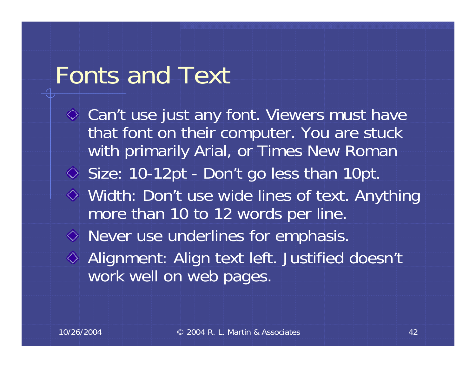### Fonts and Text

**◇ Can't use just any font. Viewers must have** that font on their computer. You are stuck with primarily Arial, or Times New Roman Size: 10-12pt - Don't go less than 10pt. Width: Don't use wide lines of text. Anything more than 10 to 12 words per line. Never use underlines for emphasis. Alignment: Align text left. Justified doesn't work well on web pages.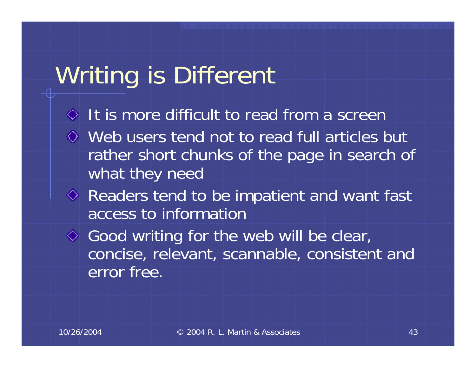# Writing is Different

- $\Diamond$  It is more difficult to read from a screen
- Web users tend not to read full articles but rather short chunks of the page in search of what they need
- Readers tend to be impatient and want fast access to information
- $\Diamond$  Good writing for the web will be clear, concise, relevant, scannable, consistent and error free.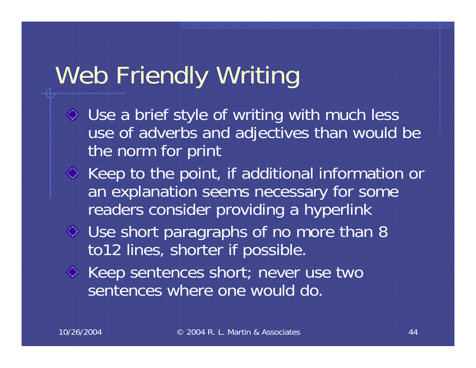# Web Friendly Writing

- Use a brief style of writing with much less use of adverbs and adjectives than would be the norm for print
- $\Diamond$  Keep to the point, if additional information or an explanation seems necessary for some readers consider providing a hyperlink
- $\Diamond$  Use short paragraphs of no more than 8 to12 lines, shorter if possible.
- $\Diamond$  Keep sentences short; never use two sentences where one would do.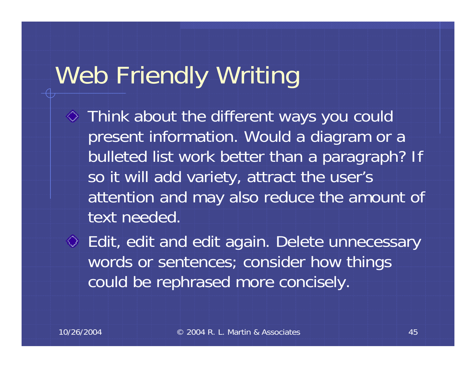# Web Friendly Writing

- Think about the different ways you could present information. Would a diagram or a bulleted list work better than a paragraph? If so it will add variety, attract the user's attention and may also reduce the amount of text needed.
- Edit, edit and edit again. Delete unnecessary words or sentences; consider how things could be rephrased more concisely.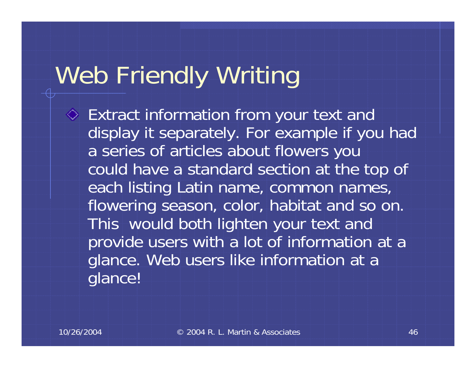# Web Friendly Writing

Extract information from your text and display it separately. For example if you had a series of articles about flowers you could have a standard section at the top of each listing Latin name, common names, flowering season, color, habitat and so on. This would both lighten your text and provide users with a lot of information at a glance. Web users like information at a glance!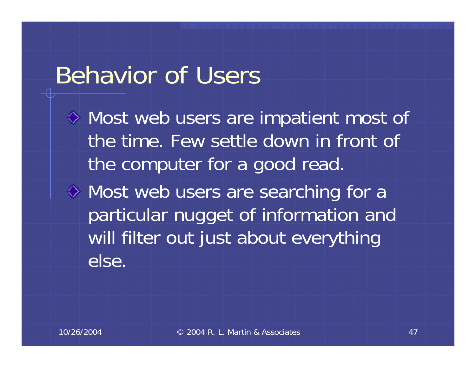### Behavior of Users

Most web users are impatient most of the time. Few settle down in front of the computer for a good read.

Most web users are searching for a particular nugget of information and will filter out just about everything else.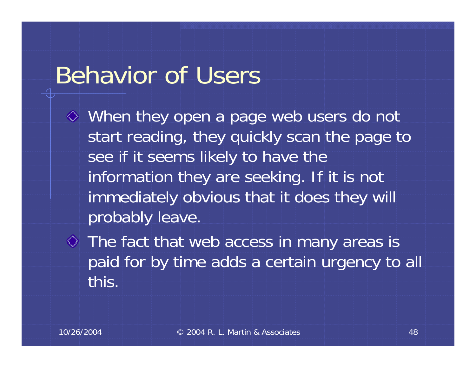### Behavior of Users

- When they open a page web users do not start reading, they quickly scan the page to see if it seems likely to have the information they are seeking. If it is not immediately obvious that it does they will probably leave.
- $\Diamond$  The fact that web access in many areas is paid for by time adds a certain urgency to all this.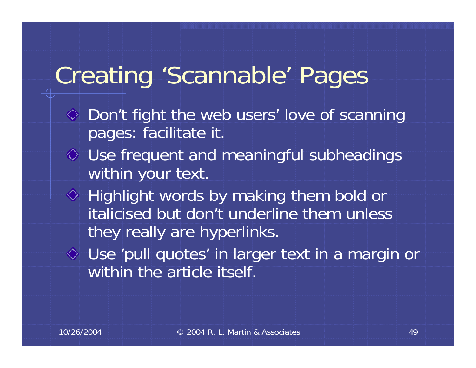# Creating 'Scannable' Pages

- $\Diamond$  Don't fight the web users' love of scanning pages: facilitate it.
- Use frequent and meaningful subheadings within your text.
- $\Diamond$  Highlight words by making them bold or italicised but don't underline them unless they really are hyperlinks.
- Use 'pull quotes' in larger text in a margin or within the article itself.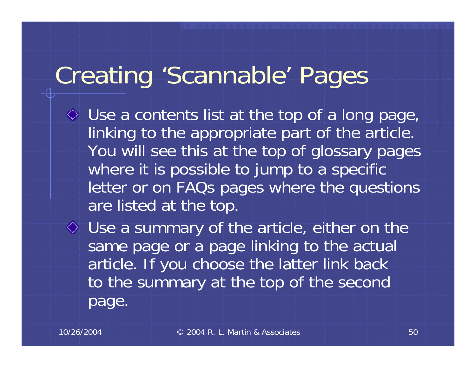# Creating 'Scannable' Pages

Use a contents list at the top of a long page, linking to the appropriate part of the article. You will see this at the top of glossary pages where it is possible to jump to a specific letter or on FAQs pages where the questions are listed at the top.

Use a summary of the article, either on the same page or a page linking to the actual article. If you choose the latter link back to the summary at the top of the second page.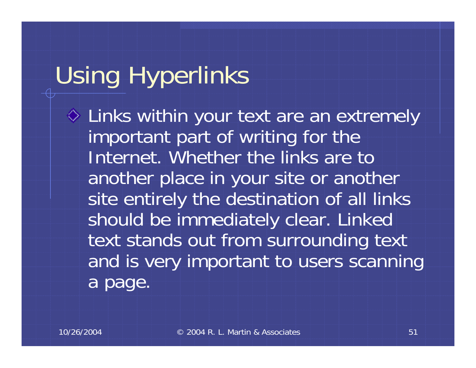# Using Hyperlinks

Links within your text are an extremely important part of writing for the Internet. Whether the links are to another place in your site or another site entirely the destination of all links should be immediately clear. Linked text stands out from surrounding text and is very important to users scanning a page.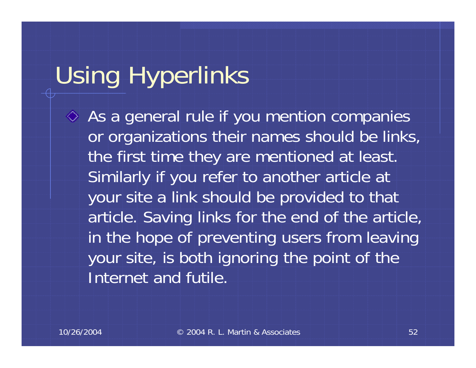# Using Hyperlinks

 $\Diamond$  As a general rule if you mention companies or organizations their names should be links, the first time they are mentioned at least. Similarly if you refer to another article at your site a link should be provided to that article. Saving links for the end of the article, in the hope of preventing users from leaving your site, is both ignoring the point of the Internet and futile.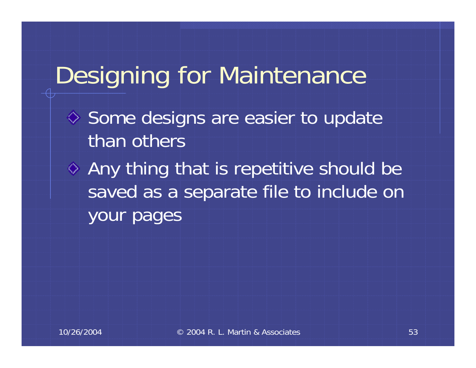## Designing for Maintenance

- $\diamond$  Some designs are easier to update than others
- Any thing that is repetitive should be saved as a separate file to include on your pages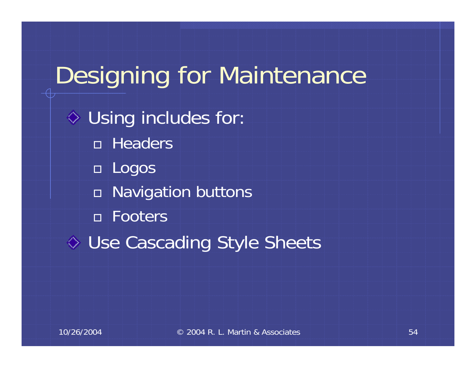# Designing for Maintenance  $\overline{\diamond}$  Using includes for: Headers Logos Navigation buttons Footers ◆ Use Cascading Style Sheets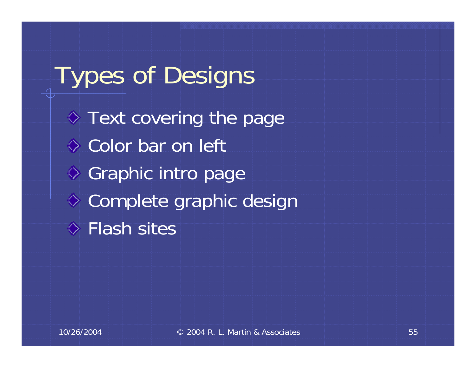Types of Designs  $\Diamond$  Text covering the page Color bar on left ◆ Graphic intro page Complete graphic design **Elash sites**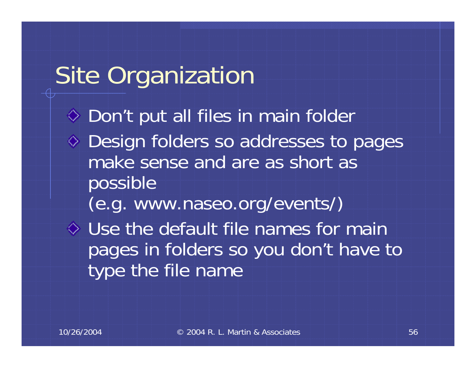## Site Organization

◆ Don't put all files in main folder Design folders so addresses to pages make sense and are as short as possible (e.g. www.naseo.org/events/) Use the default file names for main pages in folders so you don't have to type the file name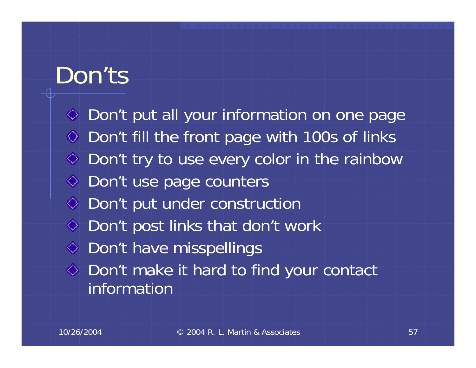### Don'ts

**◇ Don't put all your information on one page**  $\Diamond$  Don't fill the front page with 100s of links  $\Diamond$  Don't try to use every color in the rainbow  $\Diamond$  Don't use page counters ◆ Don't put under construction  $\Diamond$  Don't post links that don't work  $\Diamond$  Don't have misspellings Don't make it hard to find your contact information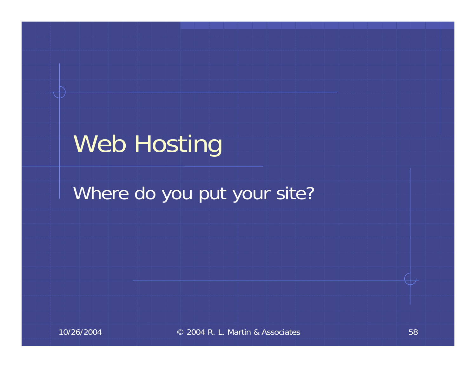## Web Hosting

#### Where do you put your site?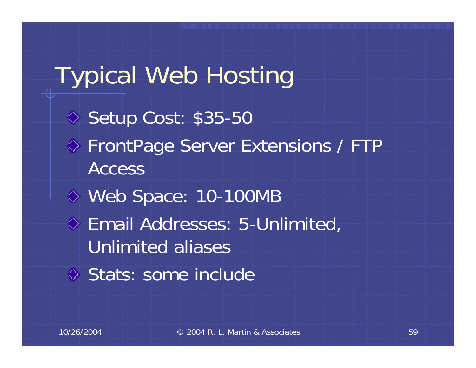Typical Web Hosting  $\Diamond$  Setup Cost: \$35-50 **♦ FrontPage Server Extensions / FTP** AccessWeb Space: 10-100MB Email Addresses: 5-Unlimited, Unlimited aliasesStats: some include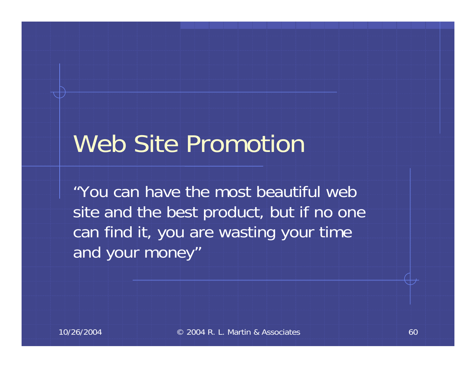## Web Site Promotion

"You can have the most beautiful web site and the best product, but if no one can find it, you are wasting your time and your money"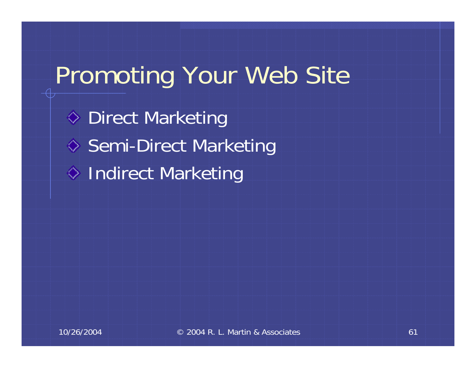## Promoting Your Web Site

◆ Direct Marketing ♦ Semi-Direct Marketing ♦ Indirect Marketing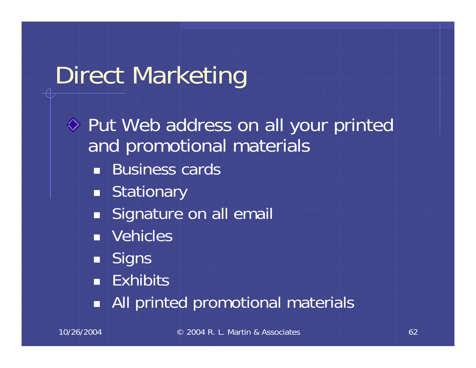# Direct Marketing

Put Web address on all your printed and promotional materials ■ Business cards ■ Stationary **Signature on all email**  Vehicles Signs **- Exhibits** All printed promotional materials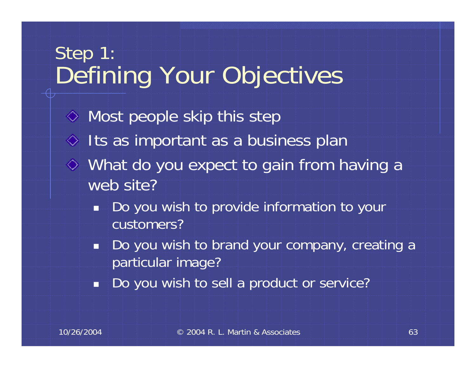#### Step 1: Defining Your Objectives

 $\Diamond$  Most people skip this step  $\Diamond$  Its as important as a business plan What do you expect to gain from having a web site?

- i. Do you wish to provide information to your customers?
- in 19 Do you wish to brand your company, creating a particular image?
- Ť Do you wish to sell a product or service?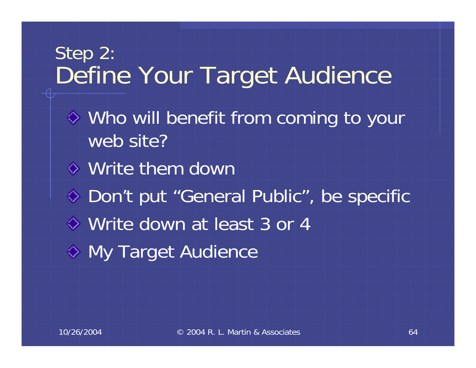#### Step 2: Define Your Target Audience

- Who will benefit from coming to your web site?
- Write them down
- ◆ Don't put "General Public", be specific
- Write down at least 3 or 4
- My Target Audience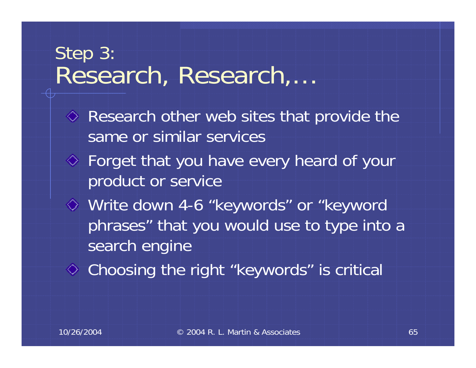#### Step 3: Research, Research,…

- $\Diamond$  Research other web sites that provide the same or similar services
- Forget that you have every heard of your product or service
- Write down 4-6 "keywords" or "keyword phrases" that you would use to type into a search engine
- Choosing the right "keywords" is critical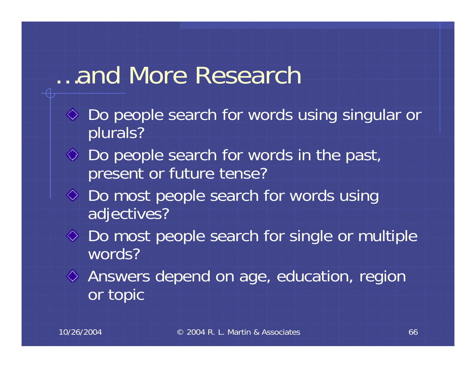#### …and More Research

- Do people search for words using singular or plurals?
- $\Diamond$  Do people search for words in the past, present or future tense?
- $\Diamond$  Do most people search for words using adjectives?
- **◇ Do most people search for single or multiple** words?
- Answers depend on age, education, region or topic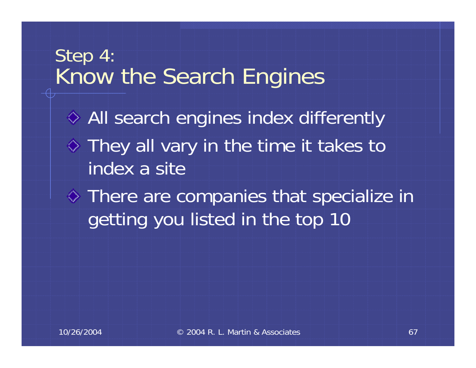#### Step 4: Know the Search Engines

All search engines index differently  $\Diamond$  They all vary in the time it takes to index a site

There are companies that specialize in getting you listed in the top 10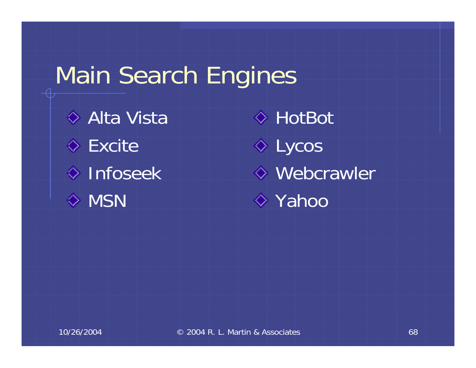## Main Search Engines

◆ Alta Vista **Excite**  $\diamond$  Infoseek  $\Diamond$  MSN

HotBot $\Diamond$  Lycos Webcrawler **◆ Yahoo**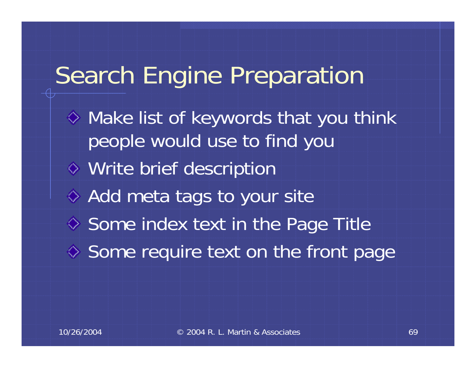## Search Engine Preparation

 $\Diamond$  Make list of keywords that you think people would use to find you Write brief description ♦ Add meta tags to your site  $\diamond$  Some index text in the Page Title  $\diamond$  Some require text on the front page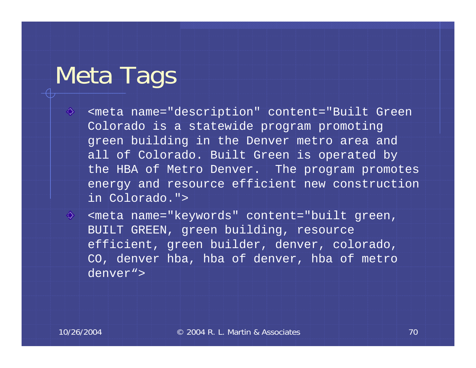### Meta Tags

◈

- <meta name="description" content="Built Green Colorado is a statewide program promoting green building in the Denver metro area and all of Colorado. Built Green is operated by the HBA of Metro Denver. The program promotes energy and resource efficient new construction in Colorado.">
- ◈ <meta name="keywords" content="built green, BUILT GREEN, green building, resource efficient, green builder, denver, colorado, CO, denver hba, hba of denver, hba of metro denver">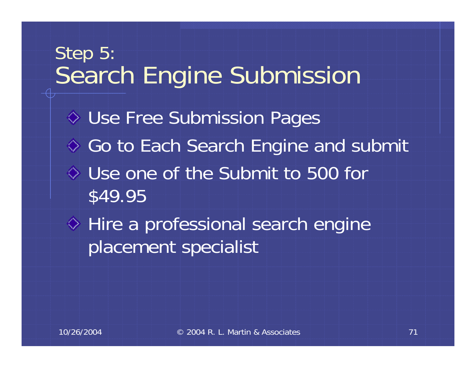# Step 5: Search Engine Submission Use Free Submission Pages ♦ Go to Each Search Engine and submit Use one of the Submit to 500 for \$49.95 ♦ Hire a professional search engine placement specialist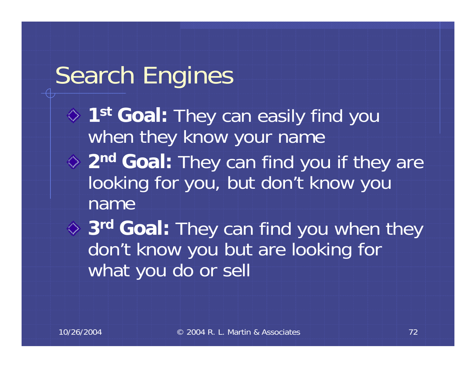## Search Engines

- **1st Goal:** They can easily find you when they know your name **2n<sup>d</sup> Goal:** They can find you if they are looking for you, but don't know you name
	- **3r<sup>d</sup> Goal:** They can find you when they don't know you but are looking for what you do or sell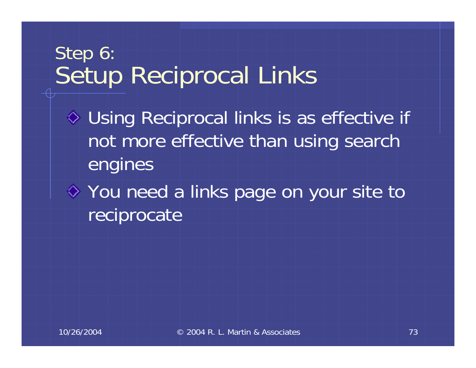#### Step 6: Setup Reciprocal Links

- Using Reciprocal links is as effective if not more effective than using search engines
- You need a links page on your site to reciprocate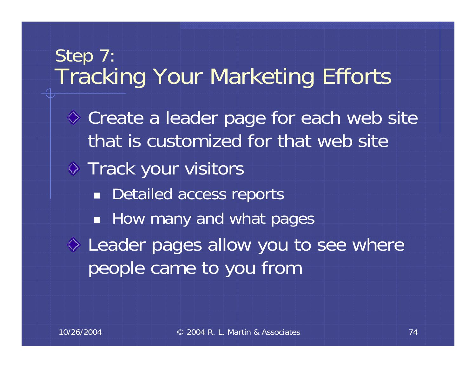#### Step 7: Tracking Your Marketing Efforts

Create a leader page for each web site that is customized for that web site**♦ Track your visitors** ■ Detailed access reports **How many and what pages**  $\diamond$  Leader pages allow you to see where people came to you from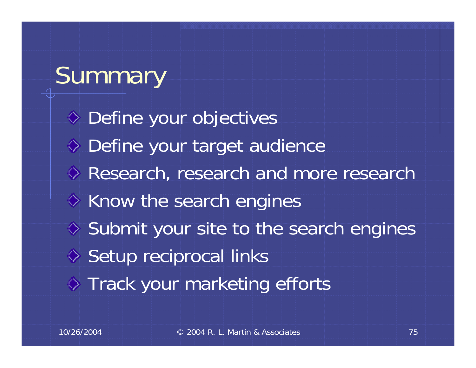# Summary

Define your objectives Define your target audience **♦ Research, research and more research**  $\Leftrightarrow$  Know the search engines  $\Diamond$  Submit your site to the search engines  $\diamond$  Setup reciprocal links Track your marketing efforts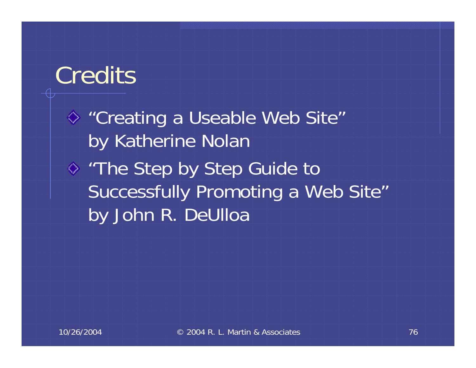### **Credits**

"Creating a Useable Web Site" by Katherine Nolan ◆ "The Step by Step Guide to Successfully Promoting a Web Site" by John R. DeUlloa